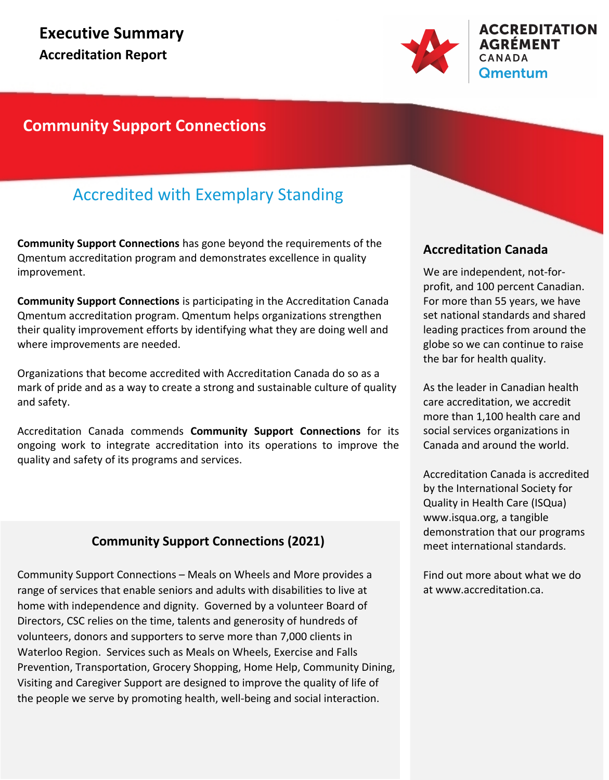

### **Community Support Connections**

### Accredited with Exemplary Standing

**Community Support Connections** has gone beyond the requirements of the Qmentum accreditation program and demonstrates excellence in quality improvement.

**Community Support Connections** is participating in the Accreditation Canada Qmentum accreditation program. Qmentum helps organizations strengthen their quality improvement efforts by identifying what they are doing well and where improvements are needed.

Organizations that become accredited with Accreditation Canada do so as a mark of pride and as a way to create a strong and sustainable culture of quality and safety.

Accreditation Canada commends **Community Support Connections** for its ongoing work to integrate accreditation into its operations to improve the quality and safety of its programs and services.

### **Community Support Connections (2021)**

Community Support Connections – Meals on Wheels and More provides a range of services that enable seniors and adults with disabilities to live at home with independence and dignity. Governed by a volunteer Board of Directors, CSC relies on the time, talents and generosity of hundreds of volunteers, donors and supporters to serve more than 7,000 clients in Waterloo Region. Services such as Meals on Wheels, Exercise and Falls Prevention, Transportation, Grocery Shopping, Home Help, Community Dining, Visiting and Caregiver Support are designed to improve the quality of life of the people we serve by promoting health, well-being and social interaction.

### **Accreditation Canada**

We are independent, not-forprofit, and 100 percent Canadian. For more than 55 years, we have set national standards and shared leading practices from around the globe so we can continue to raise the bar for health quality.

As the leader in Canadian health care accreditation, we accredit more than 1,100 health care and social services organizations in Canada and around the world.

Accreditation Canada is accredited by the International Society for Quality in Health Care (ISQua) www.isqua.org, a tangible demonstration that our programs meet international standards.

Find out more about what we do at www.accreditation.ca.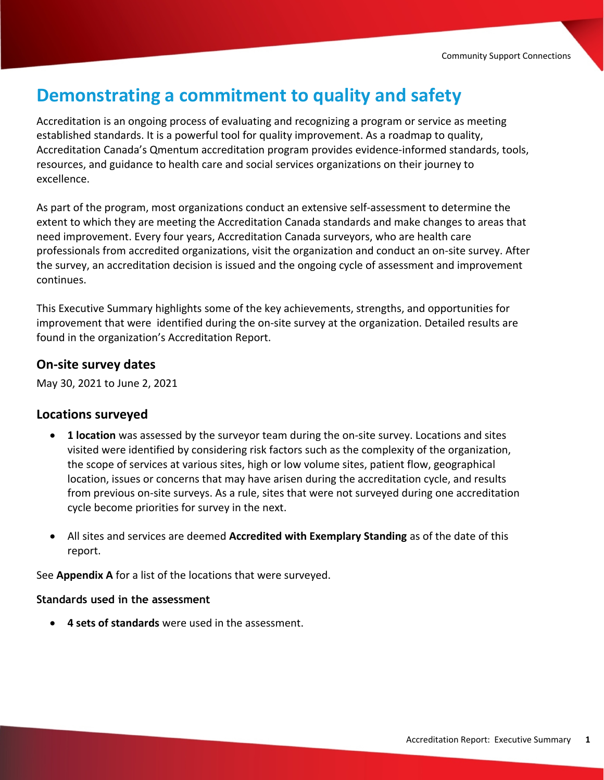## **Demonstrating a commitment to quality and safety**

Accreditation is an ongoing process of evaluating and recognizing a program or service as meeting established standards. It is a powerful tool for quality improvement. As a roadmap to quality, Accreditation Canada's Qmentum accreditation program provides evidence-informed standards, tools, resources, and guidance to health care and social services organizations on their journey to excellence.

As part of the program, most organizations conduct an extensive self-assessment to determine the extent to which they are meeting the Accreditation Canada standards and make changes to areas that need improvement. Every four years, Accreditation Canada surveyors, who are health care professionals from accredited organizations, visit the organization and conduct an on-site survey. After the survey, an accreditation decision is issued and the ongoing cycle of assessment and improvement continues.

This Executive Summary highlights some of the key achievements, strengths, and opportunities for improvement that were identified during the on-site survey at the organization. Detailed results are found in the organization's Accreditation Report.

### **On-site survey dates**

May 30, 2021 to June 2, 2021

#### **Locations surveyed**

- · **1 location** was assessed by the surveyor team during the on-site survey. Locations and sites visited were identified by considering risk factors such as the complexity of the organization, the scope of services at various sites, high or low volume sites, patient flow, geographical location, issues or concerns that may have arisen during the accreditation cycle, and results from previous on-site surveys. As a rule, sites that were not surveyed during one accreditation cycle become priorities for survey in the next.
- · All sites and services are deemed **Accredited with Exemplary Standing** as of the date of this report.

See **Appendix A** for a list of the locations that were surveyed.

#### **Standards used in the assessment**

· **4 sets of standards** were used in the assessment.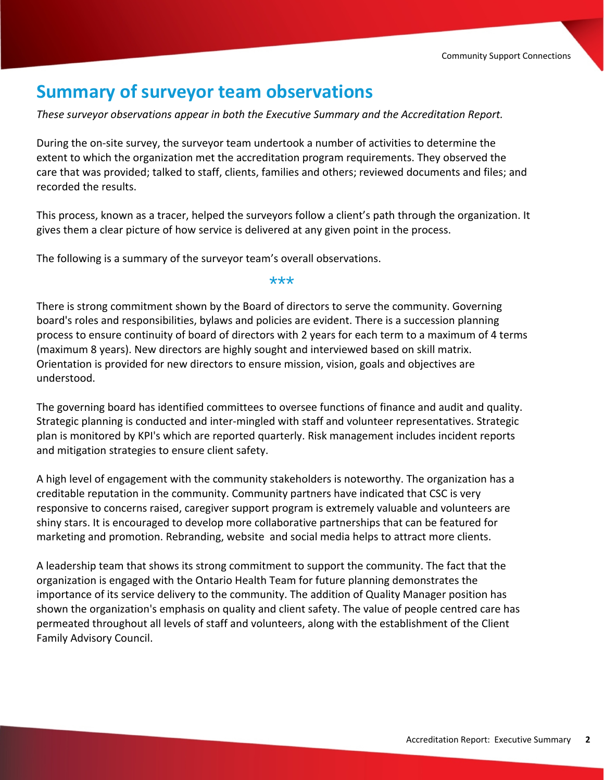### **Summary of surveyor team observations**

*These surveyor observations appear in both the Executive Summary and the Accreditation Report.*

During the on-site survey, the surveyor team undertook a number of activities to determine the extent to which the organization met the accreditation program requirements. They observed the care that was provided; talked to staff, clients, families and others; reviewed documents and files; and recorded the results.

This process, known as a tracer, helped the surveyors follow a client's path through the organization. It gives them a clear picture of how service is delivered at any given point in the process.

The following is a summary of the surveyor team's overall observations.

\*\*\*

There is strong commitment shown by the Board of directors to serve the community. Governing board's roles and responsibilities, bylaws and policies are evident. There is a succession planning process to ensure continuity of board of directors with 2 years for each term to a maximum of 4 terms (maximum 8 years). New directors are highly sought and interviewed based on skill matrix. Orientation is provided for new directors to ensure mission, vision, goals and objectives are understood.

The governing board has identified committees to oversee functions of finance and audit and quality. Strategic planning is conducted and inter-mingled with staff and volunteer representatives. Strategic plan is monitored by KPI's which are reported quarterly. Risk management includes incident reports and mitigation strategies to ensure client safety.

A high level of engagement with the community stakeholders is noteworthy. The organization has a creditable reputation in the community. Community partners have indicated that CSC is very responsive to concerns raised, caregiver support program is extremely valuable and volunteers are shiny stars. It is encouraged to develop more collaborative partnerships that can be featured for marketing and promotion. Rebranding, website and social media helps to attract more clients.

A leadership team that shows its strong commitment to support the community. The fact that the organization is engaged with the Ontario Health Team for future planning demonstrates the importance of its service delivery to the community. The addition of Quality Manager position has shown the organization's emphasis on quality and client safety. The value of people centred care has permeated throughout all levels of staff and volunteers, along with the establishment of the Client Family Advisory Council.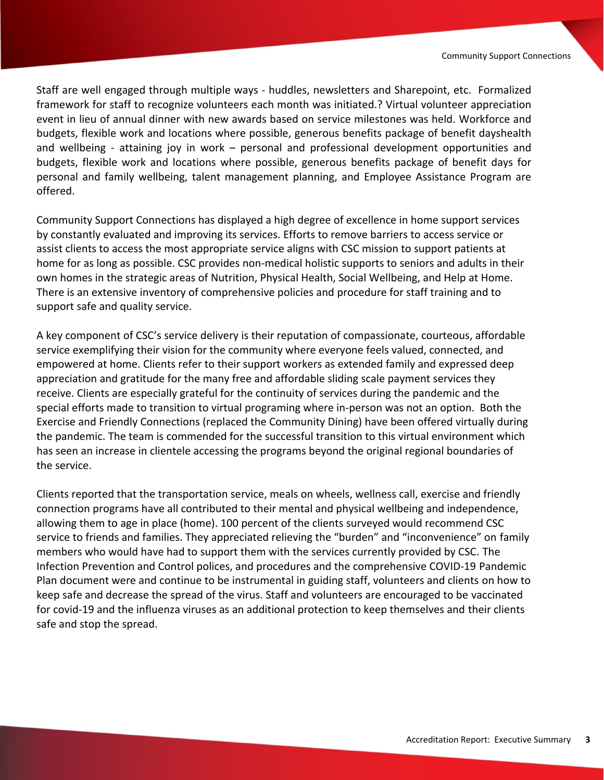Staff are well engaged through multiple ways - huddles, newsletters and Sharepoint, etc. Formalized framework for staff to recognize volunteers each month was initiated.? Virtual volunteer appreciation event in lieu of annual dinner with new awards based on service milestones was held. Workforce and budgets, flexible work and locations where possible, generous benefits package of benefit dayshealth and wellbeing - attaining joy in work – personal and professional development opportunities and budgets, flexible work and locations where possible, generous benefits package of benefit days for personal and family wellbeing, talent management planning, and Employee Assistance Program are offered.

Community Support Connections has displayed a high degree of excellence in home support services by constantly evaluated and improving its services. Efforts to remove barriers to access service or assist clients to access the most appropriate service aligns with CSC mission to support patients at home for as long as possible. CSC provides non-medical holistic supports to seniors and adults in their own homes in the strategic areas of Nutrition, Physical Health, Social Wellbeing, and Help at Home. There is an extensive inventory of comprehensive policies and procedure for staff training and to support safe and quality service.

A key component of CSC's service delivery is their reputation of compassionate, courteous, affordable service exemplifying their vision for the community where everyone feels valued, connected, and empowered at home. Clients refer to their support workers as extended family and expressed deep appreciation and gratitude for the many free and affordable sliding scale payment services they receive. Clients are especially grateful for the continuity of services during the pandemic and the special efforts made to transition to virtual programing where in-person was not an option. Both the Exercise and Friendly Connections (replaced the Community Dining) have been offered virtually during the pandemic. The team is commended for the successful transition to this virtual environment which has seen an increase in clientele accessing the programs beyond the original regional boundaries of the service.

Clients reported that the transportation service, meals on wheels, wellness call, exercise and friendly connection programs have all contributed to their mental and physical wellbeing and independence, allowing them to age in place (home). 100 percent of the clients surveyed would recommend CSC service to friends and families. They appreciated relieving the "burden" and "inconvenience" on family members who would have had to support them with the services currently provided by CSC. The Infection Prevention and Control polices, and procedures and the comprehensive COVID-19 Pandemic Plan document were and continue to be instrumental in guiding staff, volunteers and clients on how to keep safe and decrease the spread of the virus. Staff and volunteers are encouraged to be vaccinated for covid-19 and the influenza viruses as an additional protection to keep themselves and their clients safe and stop the spread.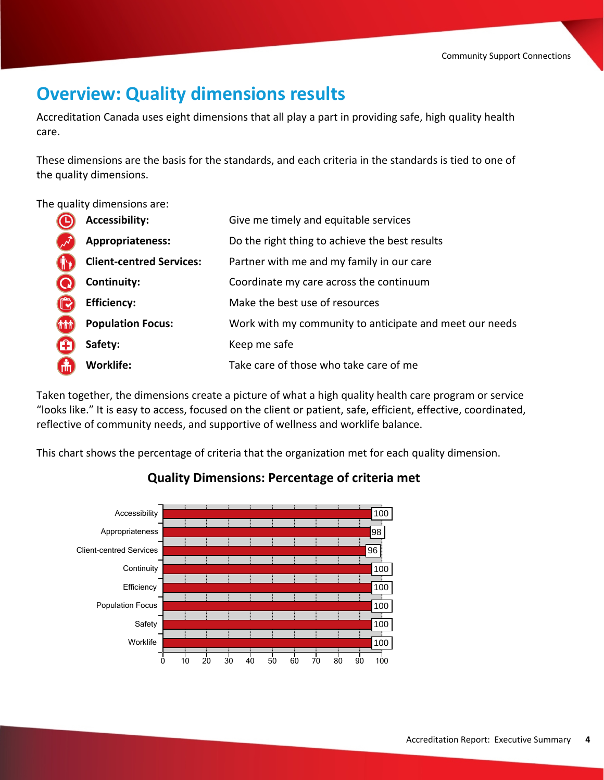## **Overview: Quality dimensions results**

Accreditation Canada uses eight dimensions that all play a part in providing safe, high quality health care.

These dimensions are the basis for the standards, and each criteria in the standards is tied to one of the quality dimensions.

The quality dimensions are:

|             | <b>Accessibility:</b>           | Give me timely and equitable services                   |
|-------------|---------------------------------|---------------------------------------------------------|
|             | Appropriateness:                | Do the right thing to achieve the best results          |
|             | <b>Client-centred Services:</b> | Partner with me and my family in our care               |
|             | Continuity:                     | Coordinate my care across the continuum                 |
|             | <b>Efficiency:</b>              | Make the best use of resources                          |
| <b>(MM)</b> | <b>Population Focus:</b>        | Work with my community to anticipate and meet our needs |
| G)          | Safety:                         | Keep me safe                                            |
| Gül         | <b>Worklife:</b>                | Take care of those who take care of me                  |

Taken together, the dimensions create a picture of what a high quality health care program or service "looks like." It is easy to access, focused on the client or patient, safe, efficient, effective, coordinated, reflective of community needs, and supportive of wellness and worklife balance.

This chart shows the percentage of criteria that the organization met for each quality dimension.



### **Quality Dimensions: Percentage of criteria met**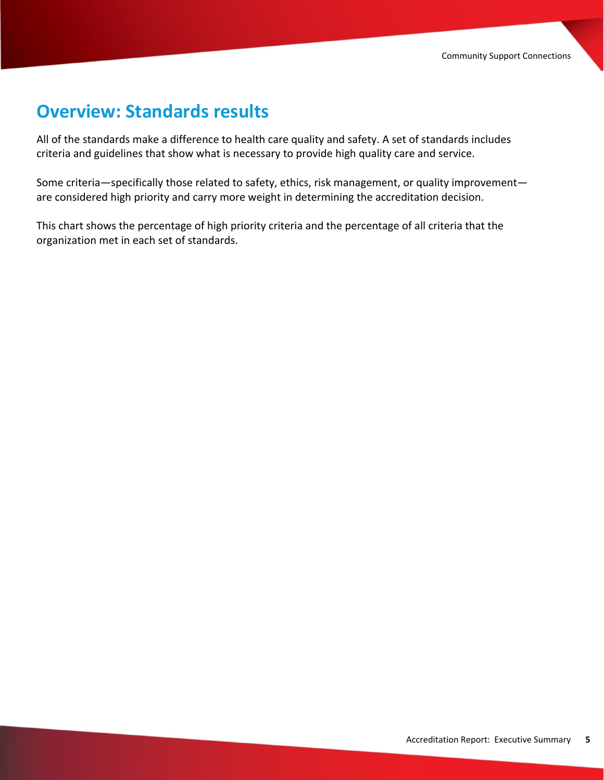## **Overview: Standards results**

All of the standards make a difference to health care quality and safety. A set of standards includes criteria and guidelines that show what is necessary to provide high quality care and service.

Some criteria—specifically those related to safety, ethics, risk management, or quality improvement are considered high priority and carry more weight in determining the accreditation decision.

This chart shows the percentage of high priority criteria and the percentage of all criteria that the organization met in each set of standards.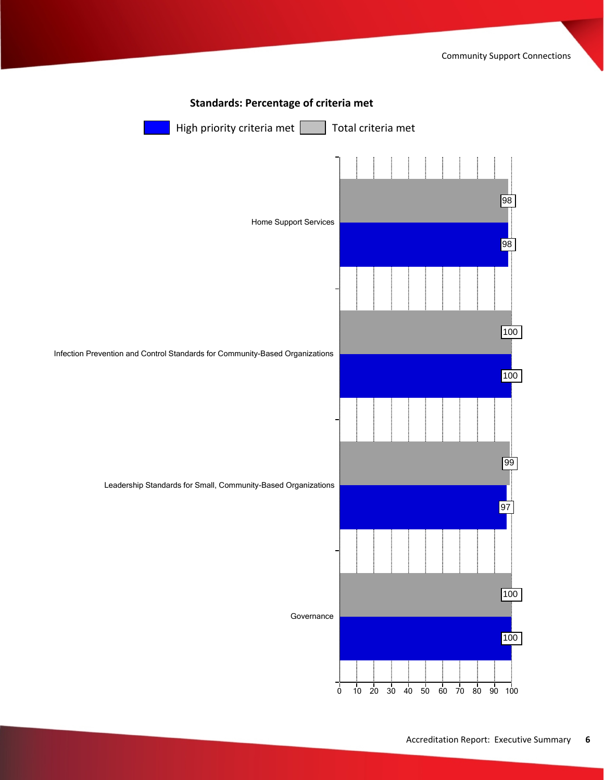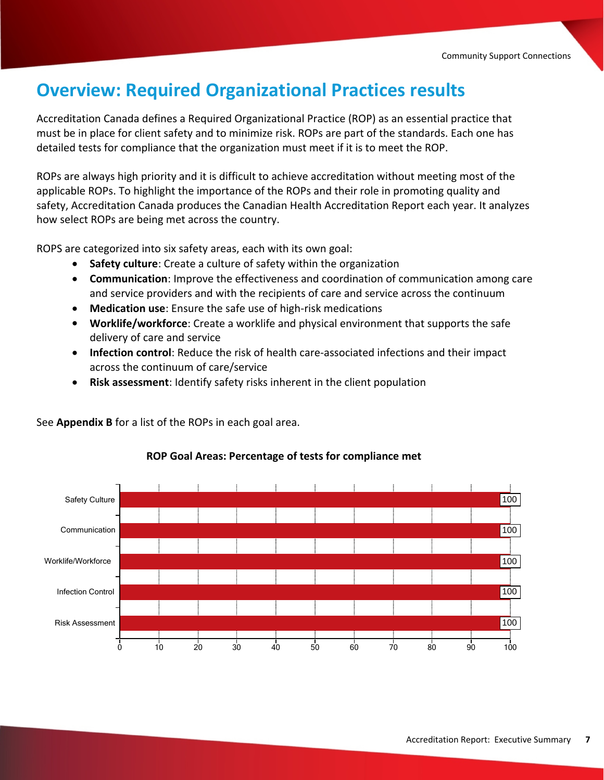## **Overview: Required Organizational Practices results**

Accreditation Canada defines a Required Organizational Practice (ROP) as an essential practice that must be in place for client safety and to minimize risk. ROPs are part of the standards. Each one has detailed tests for compliance that the organization must meet if it is to meet the ROP.

ROPs are always high priority and it is difficult to achieve accreditation without meeting most of the applicable ROPs. To highlight the importance of the ROPs and their role in promoting quality and safety, Accreditation Canada produces the Canadian Health Accreditation Report each year. It analyzes how select ROPs are being met across the country.

ROPS are categorized into six safety areas, each with its own goal:

See **Appendix B** for a list of the ROPs in each goal area.

- · **Safety culture**: Create a culture of safety within the organization
- · **Communication**: Improve the effectiveness and coordination of communication among care and service providers and with the recipients of care and service across the continuum
- · **Medication use**: Ensure the safe use of high-risk medications
- · **Worklife/workforce**: Create a worklife and physical environment that supports the safe delivery of care and service
- · **Infection control**: Reduce the risk of health care-associated infections and their impact across the continuum of care/service
- · **Risk assessment**: Identify safety risks inherent in the client population

Risk Assessment Infection Control Worklife/Workforce Communication Safety Culture 0 10 20 30 40 50 60 70 80 90 100 100 100 100 100 100

#### **ROP Goal Areas: Percentage of tests for compliance met**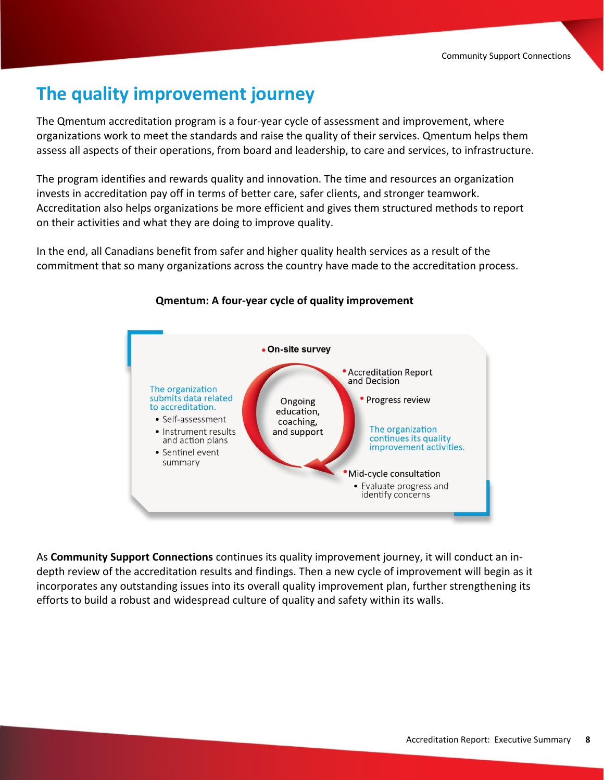## **The quality improvement journey**

The Qmentum accreditation program is a four-year cycle of assessment and improvement, where organizations work to meet the standards and raise the quality of their services. Qmentum helps them assess all aspects of their operations, from board and leadership, to care and services, to infrastructure.

The program identifies and rewards quality and innovation. The time and resources an organization invests in accreditation pay off in terms of better care, safer clients, and stronger teamwork. Accreditation also helps organizations be more efficient and gives them structured methods to report on their activities and what they are doing to improve quality.

In the end, all Canadians benefit from safer and higher quality health services as a result of the commitment that so many organizations across the country have made to the accreditation process.



#### **Qmentum: A four-year cycle of quality improvement**

As **Community Support Connections** continues its quality improvement journey, it will conduct an indepth review of the accreditation results and findings. Then a new cycle of improvement will begin as it incorporates any outstanding issues into its overall quality improvement plan, further strengthening its efforts to build a robust and widespread culture of quality and safety within its walls.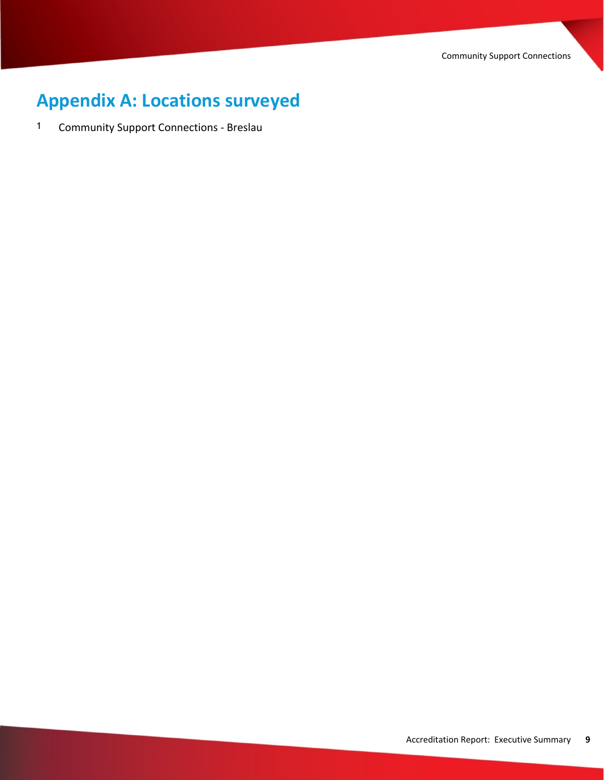Community Support Connections

# **Appendix A: Locations surveyed**

1 Community Support Connections - Breslau